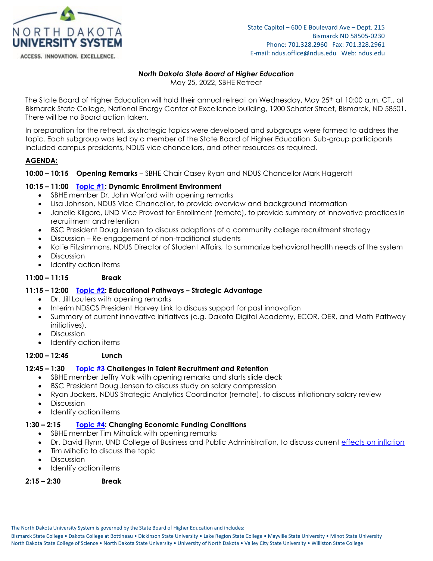

#### ACCESS. INNOVATION. EXCELLENCE.

# *North Dakota State Board of Higher Education*

May 25, 2022, SBHE Retreat

The State Board of Higher Education will hold their annual retreat on Wednesday, May 25<sup>th</sup> at 10:00 a.m. CT., at Bismarck State College, National Energy Center of Excellence building, 1200 Schafer Street, Bismarck, ND 58501. There will be no Board action taken.

In preparation for the retreat, six strategic topics were developed and subgroups were formed to address the topic. Each subgroup was led by a member of the State Board of Higher Education. Sub-group participants included campus presidents, NDUS vice chancellors, and other resources as required.

### **AGENDA:**

**10:00 – 10:15 Opening Remarks** – SBHE Chair Casey Ryan and NDUS Chancellor Mark Hagerott

### **10:15 – 11:00 [Topic #1:](https://ndusbpos.sharepoint.com/:p:/s/NDUSSBHE/EfumzKsdvb5Gt1GXnQHcxd0BE6eFhKnhY_3Sr7Lu3RLNow?e=0jJHRY) Dynamic Enrollment Environment**

- SBHE member Dr. John Warford with opening remarks
- Lisa Johnson, NDUS Vice Chancellor, to provide overview and background information
- Janelle Kilgore, UND Vice Provost for Enrollment (remote), to provide summary of innovative practices in recruitment and retention
- BSC President Doug Jensen to discuss adaptions of a community college recruitment strategy
- Discussion Re-engagement of non-traditional students
- Katie Fitzsimmons, NDUS Director of Student Affairs, to summarize behavioral health needs of the system
- Discussion
- Identify action items

### **11:00 – 11:15 Break**

### **11:15 – 12:00 [Topic #2:](https://ndusbpos.sharepoint.com/:p:/s/NDUSSBHE/EY_tPDSAeFxIpvX9soLs_AcBw-oFCtM526au4mNd2hEogA?e=NsfctW) Educational Pathways – Strategic Advantage**

- Dr. Jill Louters with opening remarks
- Interim NDSCS President Harvey Link to discuss support for past innovation
- Summary of current innovative initiatives (e.g. Dakota Digital Academy, ECOR, OER, and Math Pathway initiatives).
- Discussion
- Identify action items

## **12:00 – 12:45 Lunch**

### **12:45 – 1:30 [Topic #3](https://ndusbpos.sharepoint.com/:p:/s/NDUSSBHE/EfigvY6TvA1GpYpqCUc2STEBTv3jWaAWJiHb-Uv5r88qDw?e=MZHNbk) Challenges in Talent Recruitment and Retention**

- SBHE member Jeffry Volk with opening remarks and starts slide deck
- BSC President Doug Jensen to discuss study on salary compression
- Ryan Jockers, NDUS Strategic Analytics Coordinator (remote), to discuss inflationary salary review
- Discussion
- Identify action items

## **1:30 – 2:15 [Topic #4:](https://ndusbpos.sharepoint.com/:p:/s/NDUSSBHE/EZ1TBR4Ew_NMkRj2gXUwlfgBL9jd-I591E9jtTMo1W_-UA?e=vumdll) Changing Economic Funding Conditions**

- SBHE member Tim Mihalick with opening remarks
- Dr. David Flynn, UND College of Business and Public Administration, to discuss current [effects on inflation](https://ndusbpos.sharepoint.com/:p:/s/NDUSSBHE/EchWHVbt27tOl9fr28yy2dgBbryGsXkFDI4NaIEla4i89g?e=tr94Ed)
- Tim Mihalic to discuss the topic
- Discussion
- Identify action items

### **2:15 – 2:30 Break**

The North Dakota University System is governed by the State Board of Higher Education and includes: